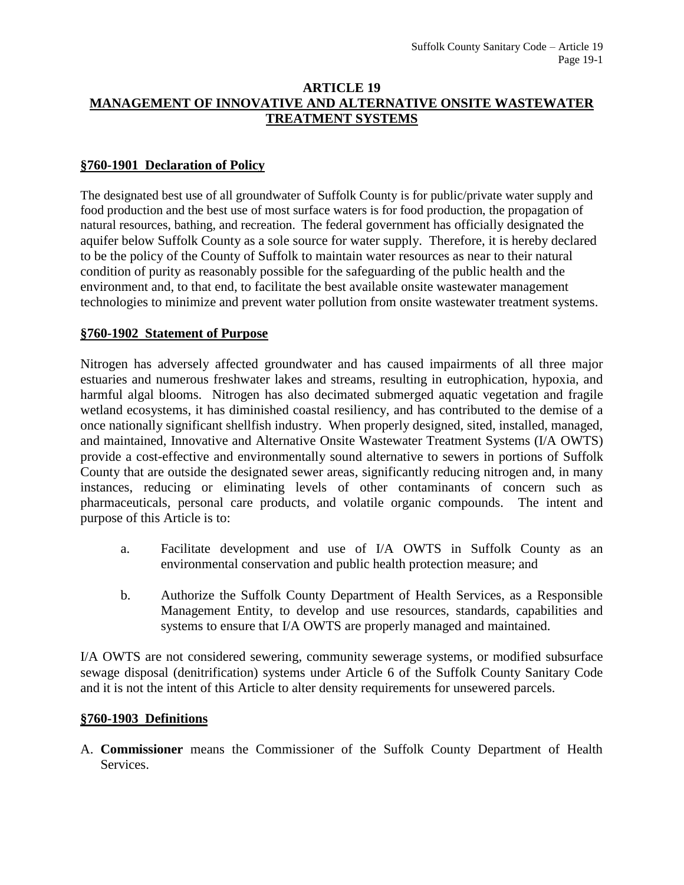### **ARTICLE 19 MANAGEMENT OF INNOVATIVE AND ALTERNATIVE ONSITE WASTEWATER TREATMENT SYSTEMS**

## **§760-1901 Declaration of Policy**

The designated best use of all groundwater of Suffolk County is for public/private water supply and food production and the best use of most surface waters is for food production, the propagation of natural resources, bathing, and recreation. The federal government has officially designated the aquifer below Suffolk County as a sole source for water supply. Therefore, it is hereby declared to be the policy of the County of Suffolk to maintain water resources as near to their natural condition of purity as reasonably possible for the safeguarding of the public health and the environment and, to that end, to facilitate the best available onsite wastewater management technologies to minimize and prevent water pollution from onsite wastewater treatment systems.

#### **§760-1902 Statement of Purpose**

Nitrogen has adversely affected groundwater and has caused impairments of all three major estuaries and numerous freshwater lakes and streams, resulting in eutrophication, hypoxia, and harmful algal blooms. Nitrogen has also decimated submerged aquatic vegetation and fragile wetland ecosystems, it has diminished coastal resiliency, and has contributed to the demise of a once nationally significant shellfish industry. When properly designed, sited, installed, managed, and maintained, Innovative and Alternative Onsite Wastewater Treatment Systems (I/A OWTS) provide a cost-effective and environmentally sound alternative to sewers in portions of Suffolk County that are outside the designated sewer areas, significantly reducing nitrogen and, in many instances, reducing or eliminating levels of other contaminants of concern such as pharmaceuticals, personal care products, and volatile organic compounds. The intent and purpose of this Article is to:

- a. Facilitate development and use of I/A OWTS in Suffolk County as an environmental conservation and public health protection measure; and
- b. Authorize the Suffolk County Department of Health Services, as a Responsible Management Entity, to develop and use resources, standards, capabilities and systems to ensure that I/A OWTS are properly managed and maintained.

I/A OWTS are not considered sewering, community sewerage systems, or modified subsurface sewage disposal (denitrification) systems under Article 6 of the Suffolk County Sanitary Code and it is not the intent of this Article to alter density requirements for unsewered parcels.

#### **§760-1903 Definitions**

A. **Commissioner** means the Commissioner of the Suffolk County Department of Health Services.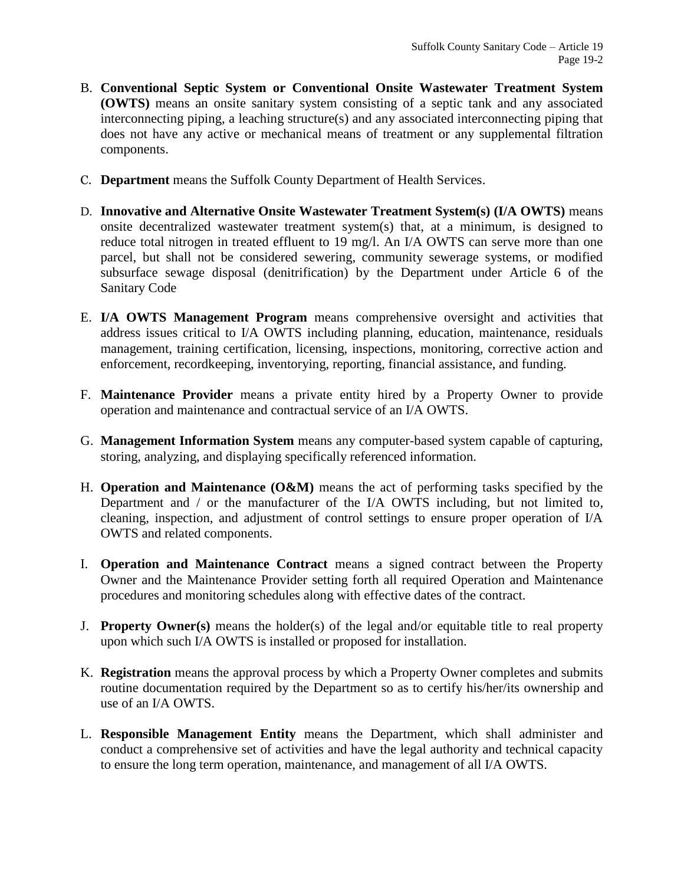- B. **Conventional Septic System or Conventional Onsite Wastewater Treatment System (OWTS)** means an onsite sanitary system consisting of a septic tank and any associated interconnecting piping, a leaching structure(s) and any associated interconnecting piping that does not have any active or mechanical means of treatment or any supplemental filtration components.
- C. **Department** means the Suffolk County Department of Health Services.
- D. **Innovative and Alternative Onsite Wastewater Treatment System(s) (I/A OWTS)** means onsite decentralized wastewater treatment system(s) that, at a minimum, is designed to reduce total nitrogen in treated effluent to 19 mg/l. An I/A OWTS can serve more than one parcel, but shall not be considered sewering, community sewerage systems, or modified subsurface sewage disposal (denitrification) by the Department under Article 6 of the Sanitary Code
- E. **I/A OWTS Management Program** means comprehensive oversight and activities that address issues critical to I/A OWTS including planning, education, maintenance, residuals management, training certification, licensing, inspections, monitoring, corrective action and enforcement, recordkeeping, inventorying, reporting, financial assistance, and funding.
- F. **Maintenance Provider** means a private entity hired by a Property Owner to provide operation and maintenance and contractual service of an I/A OWTS.
- G. **Management Information System** means any computer-based system capable of capturing, storing, analyzing, and displaying specifically referenced information.
- H. **Operation and Maintenance (O&M)** means the act of performing tasks specified by the Department and / or the manufacturer of the I/A OWTS including, but not limited to, cleaning, inspection, and adjustment of control settings to ensure proper operation of I/A OWTS and related components.
- I. **Operation and Maintenance Contract** means a signed contract between the Property Owner and the Maintenance Provider setting forth all required Operation and Maintenance procedures and monitoring schedules along with effective dates of the contract.
- J. **Property Owner(s)** means the holder(s) of the legal and/or equitable title to real property upon which such I/A OWTS is installed or proposed for installation.
- K. **Registration** means the approval process by which a Property Owner completes and submits routine documentation required by the Department so as to certify his/her/its ownership and use of an I/A OWTS.
- L. **Responsible Management Entity** means the Department, which shall administer and conduct a comprehensive set of activities and have the legal authority and technical capacity to ensure the long term operation, maintenance, and management of all I/A OWTS.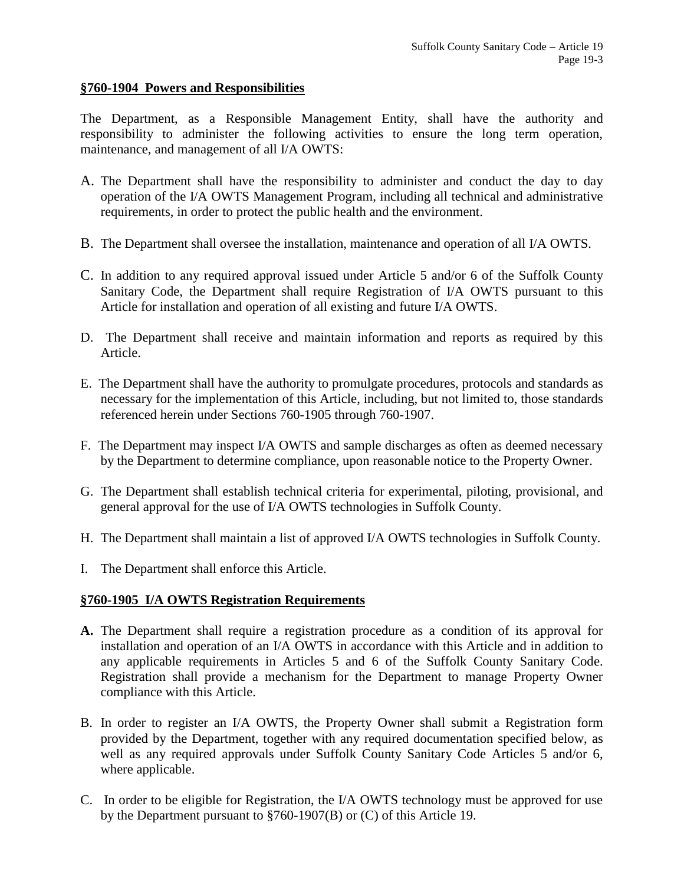#### **§760-1904 Powers and Responsibilities**

The Department, as a Responsible Management Entity, shall have the authority and responsibility to administer the following activities to ensure the long term operation, maintenance, and management of all I/A OWTS:

- A. The Department shall have the responsibility to administer and conduct the day to day operation of the I/A OWTS Management Program, including all technical and administrative requirements, in order to protect the public health and the environment.
- B. The Department shall oversee the installation, maintenance and operation of all I/A OWTS.
- C. In addition to any required approval issued under Article 5 and/or 6 of the Suffolk County Sanitary Code, the Department shall require Registration of I/A OWTS pursuant to this Article for installation and operation of all existing and future I/A OWTS.
- D. The Department shall receive and maintain information and reports as required by this Article.
- E. The Department shall have the authority to promulgate procedures, protocols and standards as necessary for the implementation of this Article, including, but not limited to, those standards referenced herein under Sections 760-1905 through 760-1907.
- F. The Department may inspect I/A OWTS and sample discharges as often as deemed necessary by the Department to determine compliance, upon reasonable notice to the Property Owner.
- G. The Department shall establish technical criteria for experimental, piloting, provisional, and general approval for the use of I/A OWTS technologies in Suffolk County.
- H. The Department shall maintain a list of approved I/A OWTS technologies in Suffolk County.
- I. The Department shall enforce this Article.

#### **§760-1905 I/A OWTS Registration Requirements**

- **A.** The Department shall require a registration procedure as a condition of its approval for installation and operation of an I/A OWTS in accordance with this Article and in addition to any applicable requirements in Articles 5 and 6 of the Suffolk County Sanitary Code. Registration shall provide a mechanism for the Department to manage Property Owner compliance with this Article.
- B. In order to register an I/A OWTS, the Property Owner shall submit a Registration form provided by the Department, together with any required documentation specified below, as well as any required approvals under Suffolk County Sanitary Code Articles 5 and/or 6, where applicable.
- C. In order to be eligible for Registration, the I/A OWTS technology must be approved for use by the Department pursuant to §760-1907(B) or (C) of this Article 19.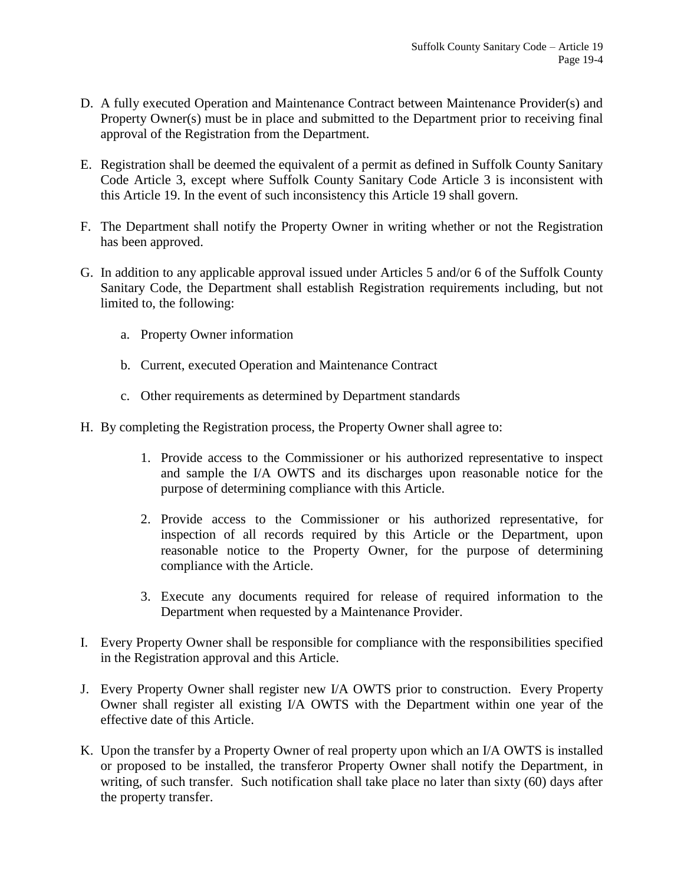- D. A fully executed Operation and Maintenance Contract between Maintenance Provider(s) and Property Owner(s) must be in place and submitted to the Department prior to receiving final approval of the Registration from the Department.
- E. Registration shall be deemed the equivalent of a permit as defined in Suffolk County Sanitary Code Article 3, except where Suffolk County Sanitary Code Article 3 is inconsistent with this Article 19. In the event of such inconsistency this Article 19 shall govern.
- F. The Department shall notify the Property Owner in writing whether or not the Registration has been approved.
- G. In addition to any applicable approval issued under Articles 5 and/or 6 of the Suffolk County Sanitary Code, the Department shall establish Registration requirements including, but not limited to, the following:
	- a. Property Owner information
	- b. Current, executed Operation and Maintenance Contract
	- c. Other requirements as determined by Department standards
- H. By completing the Registration process, the Property Owner shall agree to:
	- 1. Provide access to the Commissioner or his authorized representative to inspect and sample the I/A OWTS and its discharges upon reasonable notice for the purpose of determining compliance with this Article.
	- 2. Provide access to the Commissioner or his authorized representative, for inspection of all records required by this Article or the Department, upon reasonable notice to the Property Owner, for the purpose of determining compliance with the Article.
	- 3. Execute any documents required for release of required information to the Department when requested by a Maintenance Provider.
- I. Every Property Owner shall be responsible for compliance with the responsibilities specified in the Registration approval and this Article.
- J. Every Property Owner shall register new I/A OWTS prior to construction. Every Property Owner shall register all existing I/A OWTS with the Department within one year of the effective date of this Article.
- K. Upon the transfer by a Property Owner of real property upon which an I/A OWTS is installed or proposed to be installed, the transferor Property Owner shall notify the Department, in writing, of such transfer. Such notification shall take place no later than sixty (60) days after the property transfer.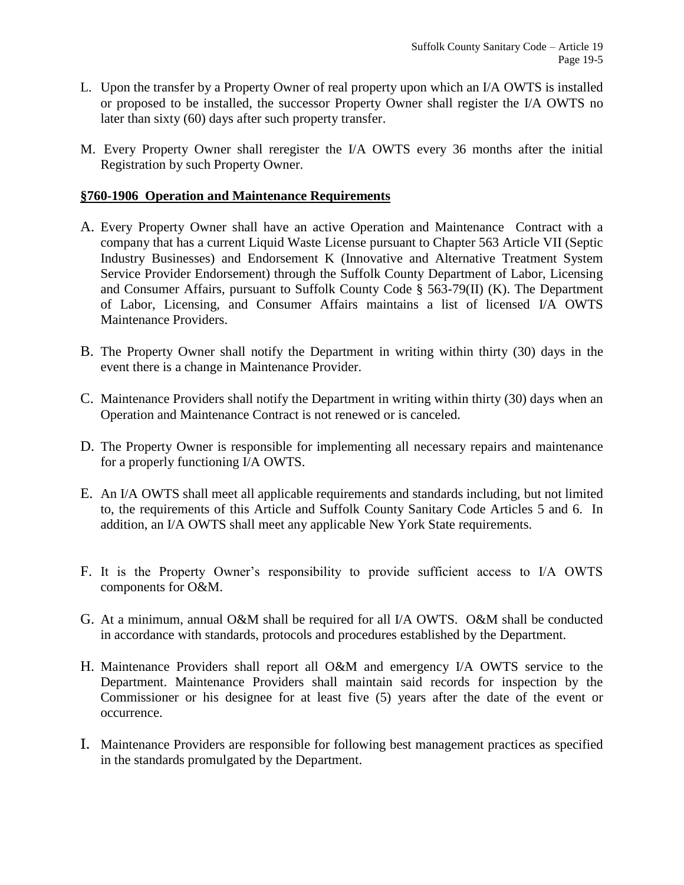- L. Upon the transfer by a Property Owner of real property upon which an I/A OWTS is installed or proposed to be installed, the successor Property Owner shall register the I/A OWTS no later than sixty (60) days after such property transfer.
- M. Every Property Owner shall reregister the I/A OWTS every 36 months after the initial Registration by such Property Owner.

### **§760-1906 Operation and Maintenance Requirements**

- A. Every Property Owner shall have an active Operation and Maintenance Contract with a company that has a current Liquid Waste License pursuant to Chapter 563 Article VII (Septic Industry Businesses) and Endorsement K (Innovative and Alternative Treatment System Service Provider Endorsement) through the Suffolk County Department of Labor, Licensing and Consumer Affairs, pursuant to Suffolk County Code § 563-79(II) (K). The Department of Labor, Licensing, and Consumer Affairs maintains a list of licensed I/A OWTS Maintenance Providers.
- B. The Property Owner shall notify the Department in writing within thirty (30) days in the event there is a change in Maintenance Provider.
- C. Maintenance Providers shall notify the Department in writing within thirty (30) days when an Operation and Maintenance Contract is not renewed or is canceled.
- D. The Property Owner is responsible for implementing all necessary repairs and maintenance for a properly functioning I/A OWTS.
- E. An I/A OWTS shall meet all applicable requirements and standards including, but not limited to, the requirements of this Article and Suffolk County Sanitary Code Articles 5 and 6. In addition, an I/A OWTS shall meet any applicable New York State requirements.
- F. It is the Property Owner's responsibility to provide sufficient access to I/A OWTS components for O&M.
- G. At a minimum, annual O&M shall be required for all I/A OWTS. O&M shall be conducted in accordance with standards, protocols and procedures established by the Department.
- H. Maintenance Providers shall report all O&M and emergency I/A OWTS service to the Department. Maintenance Providers shall maintain said records for inspection by the Commissioner or his designee for at least five (5) years after the date of the event or occurrence.
- I. Maintenance Providers are responsible for following best management practices as specified in the standards promulgated by the Department.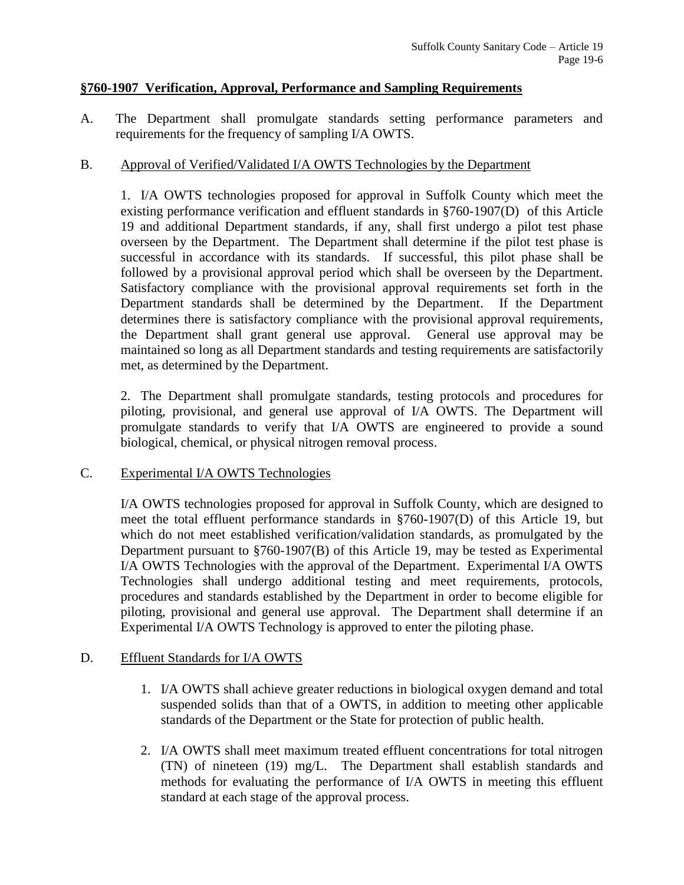#### **§760-1907 Verification, Approval, Performance and Sampling Requirements**

A. The Department shall promulgate standards setting performance parameters and requirements for the frequency of sampling I/A OWTS.

### B. Approval of Verified/Validated I/A OWTS Technologies by the Department

1. I/A OWTS technologies proposed for approval in Suffolk County which meet the existing performance verification and effluent standards in §760-1907(D) of this Article 19 and additional Department standards, if any, shall first undergo a pilot test phase overseen by the Department. The Department shall determine if the pilot test phase is successful in accordance with its standards. If successful, this pilot phase shall be followed by a provisional approval period which shall be overseen by the Department. Satisfactory compliance with the provisional approval requirements set forth in the Department standards shall be determined by the Department. If the Department determines there is satisfactory compliance with the provisional approval requirements, the Department shall grant general use approval. General use approval may be maintained so long as all Department standards and testing requirements are satisfactorily met, as determined by the Department.

2. The Department shall promulgate standards, testing protocols and procedures for piloting, provisional, and general use approval of I/A OWTS. The Department will promulgate standards to verify that I/A OWTS are engineered to provide a sound biological, chemical, or physical nitrogen removal process.

#### C. Experimental I/A OWTS Technologies

I/A OWTS technologies proposed for approval in Suffolk County, which are designed to meet the total effluent performance standards in §760-1907(D) of this Article 19, but which do not meet established verification/validation standards, as promulgated by the Department pursuant to §760-1907(B) of this Article 19, may be tested as Experimental I/A OWTS Technologies with the approval of the Department. Experimental I/A OWTS Technologies shall undergo additional testing and meet requirements, protocols, procedures and standards established by the Department in order to become eligible for piloting, provisional and general use approval. The Department shall determine if an Experimental I/A OWTS Technology is approved to enter the piloting phase.

# D. Effluent Standards for I/A OWTS

- 1. I/A OWTS shall achieve greater reductions in biological oxygen demand and total suspended solids than that of a OWTS, in addition to meeting other applicable standards of the Department or the State for protection of public health.
- 2. I/A OWTS shall meet maximum treated effluent concentrations for total nitrogen (TN) of nineteen (19) mg/L. The Department shall establish standards and methods for evaluating the performance of I/A OWTS in meeting this effluent standard at each stage of the approval process.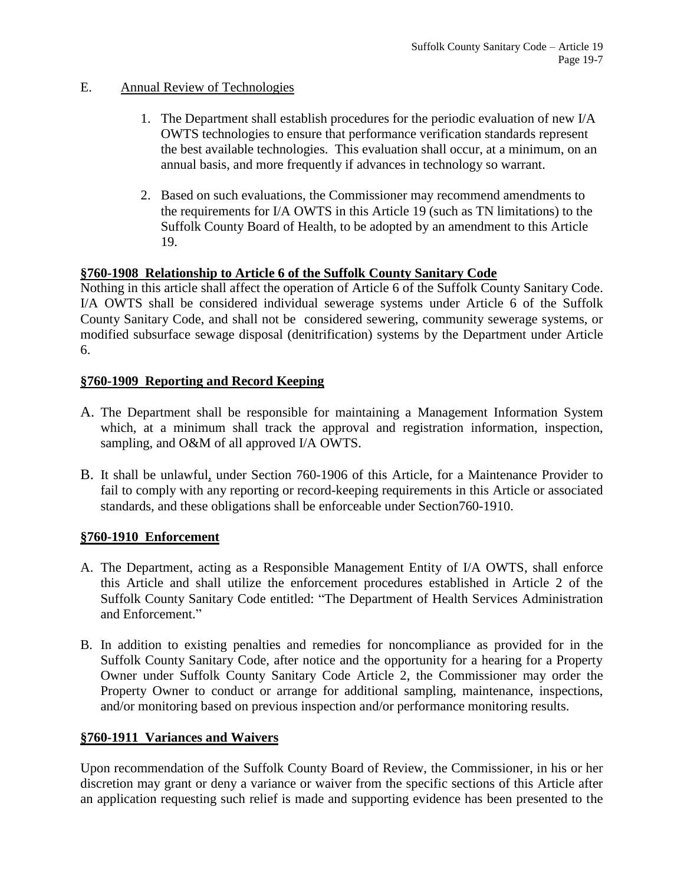### E. Annual Review of Technologies

- 1. The Department shall establish procedures for the periodic evaluation of new I/A OWTS technologies to ensure that performance verification standards represent the best available technologies. This evaluation shall occur, at a minimum, on an annual basis, and more frequently if advances in technology so warrant.
- 2. Based on such evaluations, the Commissioner may recommend amendments to the requirements for I/A OWTS in this Article 19 (such as TN limitations) to the Suffolk County Board of Health, to be adopted by an amendment to this Article 19.

# **§760-1908 Relationship to Article 6 of the Suffolk County Sanitary Code**

Nothing in this article shall affect the operation of Article 6 of the Suffolk County Sanitary Code. I/A OWTS shall be considered individual sewerage systems under Article 6 of the Suffolk County Sanitary Code, and shall not be considered sewering, community sewerage systems, or modified subsurface sewage disposal (denitrification) systems by the Department under Article 6.

# **§760-1909 Reporting and Record Keeping**

- A. The Department shall be responsible for maintaining a Management Information System which, at a minimum shall track the approval and registration information, inspection, sampling, and O&M of all approved I/A OWTS.
- B. It shall be unlawful, under Section 760-1906 of this Article, for a Maintenance Provider to fail to comply with any reporting or record-keeping requirements in this Article or associated standards, and these obligations shall be enforceable under Section760-1910.

# **§760-1910 Enforcement**

- A. The Department, acting as a Responsible Management Entity of I/A OWTS, shall enforce this Article and shall utilize the enforcement procedures established in Article 2 of the Suffolk County Sanitary Code entitled: "The Department of Health Services Administration and Enforcement."
- B. In addition to existing penalties and remedies for noncompliance as provided for in the Suffolk County Sanitary Code, after notice and the opportunity for a hearing for a Property Owner under Suffolk County Sanitary Code Article 2, the Commissioner may order the Property Owner to conduct or arrange for additional sampling, maintenance, inspections, and/or monitoring based on previous inspection and/or performance monitoring results.

# **§760-1911 Variances and Waivers**

Upon recommendation of the Suffolk County Board of Review, the Commissioner, in his or her discretion may grant or deny a variance or waiver from the specific sections of this Article after an application requesting such relief is made and supporting evidence has been presented to the